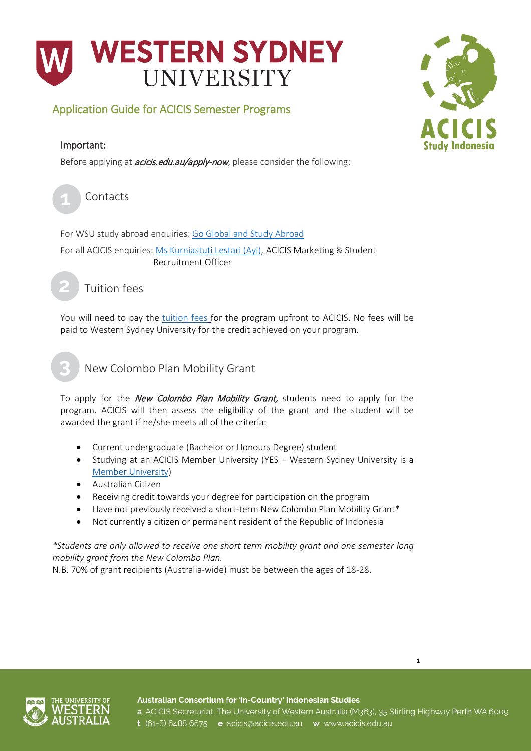

## Application Guide for ACICIS Semester Programs

#### Important:

Before applying at *[acicis.edu.au/apply-now](http://acicis.edu.au/apply-now)*, please consider the following:



Contacts

For WSU study abroad enquiries[: Go Global and Study Abroad](mailto:goglobal@westernsydney.edu.au) For all ACICIS enquiries: [Ms Kurniastuti Lestari \(Ayi\),](mailto:k.lestari@acicis.edu.au) ACICIS Marketing & Student Recruitment Officer



Tuition fees

You will need to pay the [tuition fees](https://www.acicis.edu.au/programs/semester/costs/) for the program upfront to ACICIS. No fees will be paid to Western Sydney University for the credit achieved on your program.

New Colombo Plan Mobility Grant

To apply for the *New Colombo Plan Mobility Grant*, students need to apply for the program. ACICIS will then assess the eligibility of the grant and the student will be awarded the grant if he/she meets all of the criteria:

- Current undergraduate (Bachelor or Honours Degree) student
- Studying at an ACICIS Member University (YES Western Sydney University is a [Member University\)](https://www.acicis.edu.au/universities/member/)
- Australian Citizen
- Receiving credit towards your degree for participation on the program
- Have not previously received a short-term New Colombo Plan Mobility Grant\*
- Not currently a citizen or permanent resident of the Republic of Indonesia

*\*Students are only allowed to receive one short term mobility grant and one semester long mobility grant from the New Colombo Plan.*

N.B. 70% of grant recipients (Australia-wide) must be between the ages of 18-28.



Australian Consortium for 'In-Country' Indonesian Studies a ACICIS Secretariat, The University of Western Australia (M363), 35 Stirling Highway Perth WA 6009 t (61-8) 6488 6675 e acicis@acicis.edu.au w www.acicis.edu.au

1

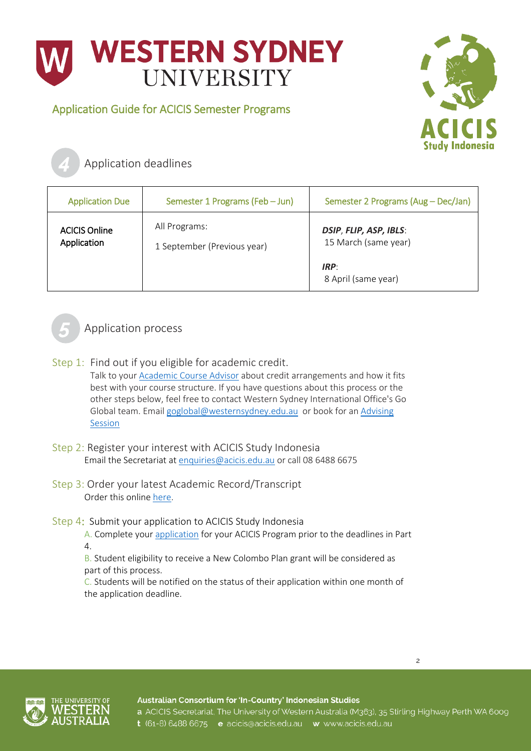

### Application Guide for ACICIS Semester Programs



# Application deadlines

| <b>Application Due</b>              | Semester 1 Programs (Feb - Jun)              | Semester 2 Programs (Aug - Dec/Jan)            |
|-------------------------------------|----------------------------------------------|------------------------------------------------|
| <b>ACICIS Online</b><br>Application | All Programs:<br>1 September (Previous year) | DSIP, FLIP, ASP, IBLS:<br>15 March (same year) |
|                                     |                                              | IRP:<br>8 April (same year)                    |



### Application process

Step 1: Find out if you eligible for academic credit.

Talk to you[r Academic Course Advisor](https://www.westernsydney.edu.au/about/schools_research_institutes) about credit arrangements and how it fits best with your course structure. If you have questions about this process or the other steps below, feel free to contact Western Sydney International Office's Go Global team. Emai[l goglobal@westernsydney.edu.au](mailto:goglobal@westernsydney.edu.au) or book for an Advising [Session](https://wsugoglobaladvisingappts.youcanbook.me/) 

- Step 2: Register your interest with ACICIS Study Indonesia Email the Secretariat at [enquiries@acicis.edu.au](mailto:enquiries@acicis.edu.au) or call 08 6488 6675
- Step 3: Order your latest Academic Record/Transcript Order this onlin[e here.](https://www.westernsydney.edu.au/graduation_ceremonies/graduating/documents/academic_transcript)
- Step 4: Submit your application to ACICIS Study Indonesia

A. Complete your [application](http://www.acicis.edu.au/apply-now/) for your ACICIS Program prior to the deadlines in Part 4.

B. Student eligibility to receive a New Colombo Plan grant will be considered as part of this process.

C. Students will be notified on the status of their application within one month of the application deadline.



Australian Consortium for 'In-Country' Indonesian Studies a ACICIS Secretariat, The University of Western Australia (M363), 35 Stirling Highway Perth WA 6009 t (61-8) 6488 6675 e acicis@acicis.edu.au w www.acicis.edu.au

2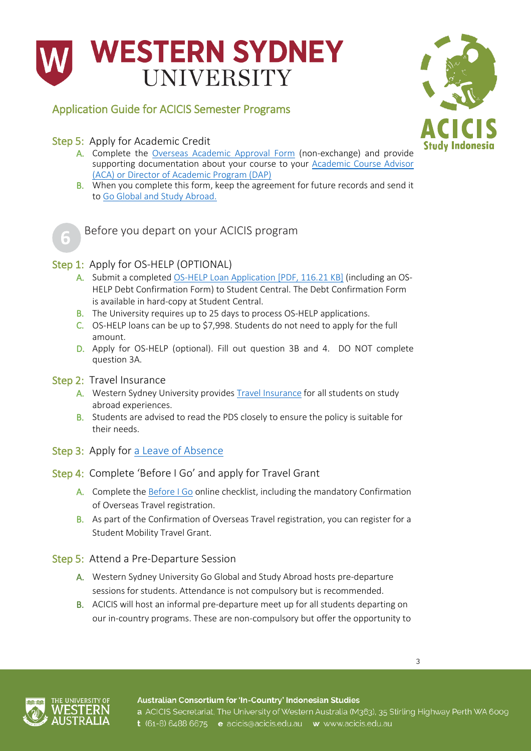# **WESTERN SYDNEY** UNIVERSITY

# Application Guide for ACICIS Semester Programs

Step 5: Apply for Academic Credit



- A. Complete the [Overseas Academic Approval Form](https://www.westernsydney.edu.au/globalmobility/goglobal/home/apply_to_go/academic_approval_non-exchange) (non-exchange) and provide supporting documentation about your course to your [Academic Course Advisor](https://www.westernsydney.edu.au/about/schools_research_institutes)  [\(ACA\) or Director of Academic Program \(DAP\)](https://www.westernsydney.edu.au/about/schools_research_institutes)
- B. When you complete this form, keep the agreement for future records and send it to [Go Global and Study Abroad.](mailto:goglobal@westernsydney.edu.au?subject=Academic%20Approval%20Form%20for%20ACICIS%20program)



Before you depart on your ACICIS program

#### Step 1: Apply for OS-HELP (OPTIONAL)

- A. Submit a completed [OS-HELP Loan Application \[PDF, 116.21 KB\]](https://www.westernsydney.edu.au/__data/assets/pdf_file/0010/199180/OS-HELP_Assistance_Application-2018.pdf) (including an OS-HELP Debt Confirmation Form) to Student Central. The Debt Confirmation Form is available in hard-copy at Student Central.
- B. The University requires up to 25 days to process OS-HELP applications.
- C. OS-HELP loans can be up to \$7,998. Students do not need to apply for the full amount.
- D. Apply for OS-HELP (optional). Fill out question 3B and 4. DO NOT complete question 3A.
- Step 2: Travel Insurance
	- A. Western Sydney University provides **Travel Insurance for all students on study** abroad experiences.
	- B. Students are advised to read the PDS closely to ensure the policy is suitable for their needs.
- Step 3: Apply for [a Leave of Absence](https://www.westernsydney.edu.au/currentstudents/current_students/enrolment/applying_for_leave_and_resigning_from_your_course%23leave)
- Step 4: Complete 'Before I Go' and apply for Travel Grant
	- A. Complete the [Before I Go](https://www.westernsydney.edu.au/globalmobility/goglobal/home/before_i_go) online checklist, including the mandatory Confirmation of Overseas Travel registration.
	- B. As part of the Confirmation of Overseas Travel registration, you can register for a [Student Mobility Travel Grant.](https://www.westernsydney.edu.au/globalmobility/goglobal/home/before_i_go/student_mobility_travel_grant)

#### Step 5: Attend a Pre-Departure Session

- A. Western Sydney University Go Global and Study Abroad hosts pre-departure sessions for students. Attendance is not compulsory but is recommended.
- B. ACICIS will host an informal pre-departure meet up for all students departing on our in-country programs. These are non-compulsory but offer the opportunity to